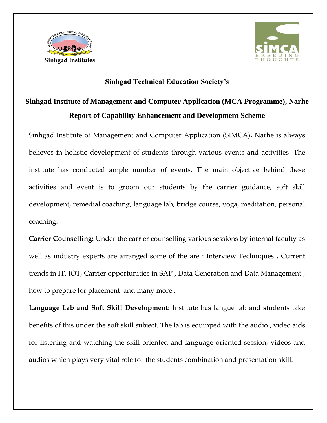



## **Sinhgad Technical Education Society's**

## **Sinhgad Institute of Management and Computer Application (MCA Programme), Narhe Report of Capability Enhancement and Development Scheme**

Sinhgad Institute of Management and Computer Application (SIMCA), Narhe is always believes in holistic development of students through various events and activities. The institute has conducted ample number of events. The main objective behind these activities and event is to groom our students by the carrier guidance, soft skill development, remedial coaching, language lab, bridge course, yoga, meditation, personal coaching.

**Carrier Counselling:** Under the carrier counselling various sessions by internal faculty as well as industry experts are arranged some of the are : Interview Techniques , Current trends in IT, IOT, Carrier opportunities in SAP , Data Generation and Data Management , how to prepare for placement and many more .

**Language Lab and Soft Skill Development:** Institute has langue lab and students take benefits of this under the soft skill subject. The lab is equipped with the audio , video aids for listening and watching the skill oriented and language oriented session, videos and audios which plays very vital role for the students combination and presentation skill.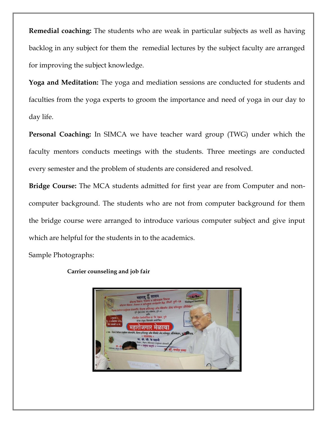**Remedial coaching:** The students who are weak in particular subjects as well as having backlog in any subject for them the remedial lectures by the subject faculty are arranged for improving the subject knowledge.

**Yoga and Meditation:** The yoga and mediation sessions are conducted for students and faculties from the yoga experts to groom the importance and need of yoga in our day to day life.

**Personal Coaching:** In SIMCA we have teacher ward group (TWG) under which the faculty mentors conducts meetings with the students. Three meetings are conducted every semester and the problem of students are considered and resolved.

**Bridge Course:** The MCA students admitted for first year are from Computer and noncomputer background. The students who are not from computer background for them the bridge course were arranged to introduce various computer subject and give input which are helpful for the students in to the academics.

Sample Photographs:

## **Carrier counseling and job fair**

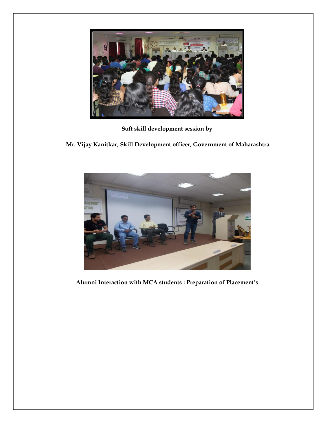

**Soft skill development session by** 

**Mr. Vijay Kanitkar, Skill Development officer, Government of Maharashtra**



**Alumni Interaction with MCA students : Preparation of Placement's**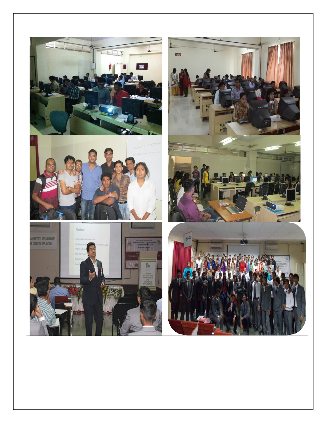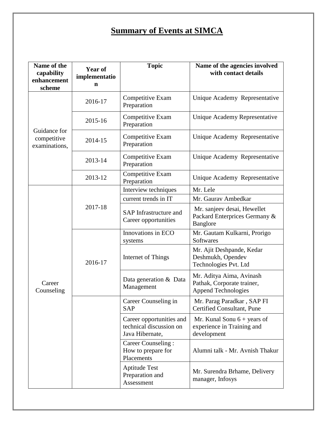## **Summary of Events at SIMCA**

| Name of the<br>capability<br>enhancement<br>scheme | Year of<br>implementatio<br>n | <b>Topic</b>                                                           | Name of the agencies involved<br>with contact details                                |
|----------------------------------------------------|-------------------------------|------------------------------------------------------------------------|--------------------------------------------------------------------------------------|
| Guidance for<br>competitive<br>examinations,       | 2016-17                       | Competitive Exam<br>Preparation                                        | Unique Academy Representative                                                        |
|                                                    | 2015-16                       | Competitive Exam<br>Preparation                                        | Unique Academy Representative                                                        |
|                                                    | 2014-15                       | Competitive Exam<br>Preparation                                        | Unique Academy Representative                                                        |
|                                                    | 2013-14                       | Competitive Exam<br>Preparation                                        | Unique Academy Representative                                                        |
|                                                    | 2013-12                       | Competitive Exam<br>Preparation                                        | Unique Academy Representative                                                        |
|                                                    | 2017-18                       | Interview techniques                                                   | Mr. Lele                                                                             |
|                                                    |                               | current trends in IT                                                   | Mr. Gaurav Ambedkar                                                                  |
| Career<br>Counseling                               |                               | <b>SAP</b> Infrastructure and<br>Career opportunities                  | Mr. sanjeev desai, Hewellet<br>Packard Enterprices Germany &<br>Banglore             |
|                                                    | 2016-17                       | Innovations in ECO<br>systems                                          | Mr. Gautam Kulkarni, Prorigo<br>Softwares                                            |
|                                                    |                               | Internet of Things                                                     | Mr. Ajit Deshpande, Kedar<br>Deshmukh, Opendev<br>Technologies Pvt. Ltd              |
|                                                    |                               | Data generation & Data<br>Management                                   | Mr. Aditya Aima, Avinash<br>Pathak, Corporate trainer,<br><b>Append Technologies</b> |
|                                                    |                               | Career Counseling in<br>SAP                                            | Mr. Parag Paradkar, SAP FI<br>Certified Consultant, Pune                             |
|                                                    |                               | Career opportunities and<br>technical discussion on<br>Java Hibernate, | Mr. Kunal Sonu $6 + \text{years}$ of<br>experience in Training and<br>development    |
|                                                    |                               | Career Counseling:<br>How to prepare for<br>Placements                 | Alumni talk - Mr. Avnish Thakur                                                      |
|                                                    |                               | <b>Aptitude Test</b><br>Preparation and<br>Assessment                  | Mr. Surendra Brhame, Delivery<br>manager, Infosys                                    |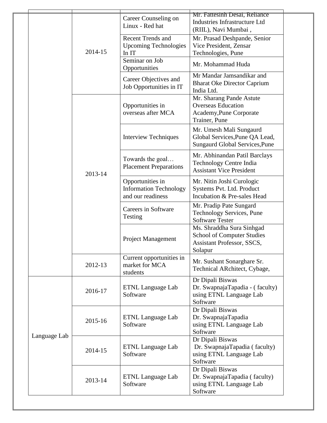|              | 2014-15 | Career Counseling on<br>Linux - Red hat                                | Mr. Fattesinh Desai, Reliance<br><b>Industries Infrastructure Ltd</b><br>(RIIL), Navi Mumbai,           |
|--------------|---------|------------------------------------------------------------------------|---------------------------------------------------------------------------------------------------------|
|              |         | Recent Trends and<br><b>Upcoming Technologies</b><br>In IT             | Mr. Prasad Deshpande, Senior<br>Vice President, Zensar<br>Technologies, Pune                            |
|              |         | Seminar on Job<br>Opportunities                                        | Mr. Mohammad Huda                                                                                       |
|              |         | Career Objectives and<br>Job Opportunities in IT                       | Mr Mandar Jamsandikar and<br><b>Bharat Oke Director Caprium</b><br>India Ltd.                           |
|              |         | Opportunities in<br>overseas after MCA                                 | Mr. Sharang Pande Astute<br><b>Overseas Education</b><br>Academy, Pune Corporate<br>Trainer, Pune       |
|              |         | <b>Interview Techniques</b>                                            | Mr. Umesh Mali Sungaurd<br>Global Services, Pune QA Lead,<br><b>Sungaurd Global Services, Pune</b>      |
|              | 2013-14 | Towards the goal<br><b>Placement Preparations</b>                      | Mr. Abhinandan Patil Barclays<br><b>Technology Centre India</b><br><b>Assistant Vice President</b>      |
|              |         | Opportunities in<br><b>Information Technology</b><br>and our readiness | Mr. Nitin Joshi Curologic<br>Systems Pvt. Ltd. Product<br>Incubation & Pre-sales Head                   |
|              |         | Careers in Software<br>Testing                                         | Mr. Pradip Pate Sungard<br><b>Technology Services, Pune</b><br><b>Software Tester</b>                   |
|              |         | Project Management                                                     | Ms. Shraddha Sura Sinhgad<br><b>School of Computer Studies</b><br>Assistant Professor, SSCS,<br>Solapur |
|              | 2012-13 | Current opportunities in<br>market for MCA<br>students                 | Mr. Sushant Sonarghare Sr.<br>Technical ARchitect, Cybage,                                              |
| Language Lab | 2016-17 | ETNL Language Lab<br>Software                                          | Dr Dipali Biswas<br>Dr. SwapnajaTapadia - (faculty)<br>using ETNL Language Lab<br>Software              |
|              | 2015-16 | ETNL Language Lab<br>Software                                          | Dr Dipali Biswas<br>Dr. SwapnajaTapadia<br>using ETNL Language Lab<br>Software                          |
|              | 2014-15 | ETNL Language Lab<br>Software                                          | Dr Dipali Biswas<br>Dr. SwapnajaTapadia (faculty)<br>using ETNL Language Lab<br>Software                |
|              | 2013-14 | ETNL Language Lab<br>Software                                          | Dr Dipali Biswas<br>Dr. SwapnajaTapadia (faculty)<br>using ETNL Language Lab<br>Software                |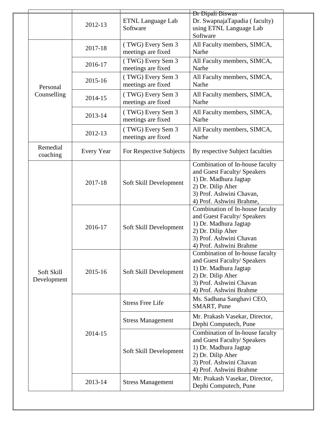|                           |            |                                         | <del>Dr Dipali Biswas</del>                                                                                                                                          |
|---------------------------|------------|-----------------------------------------|----------------------------------------------------------------------------------------------------------------------------------------------------------------------|
|                           | 2012-13    | ETNL Language Lab<br>Software           | Dr. SwapnajaTapadia (faculty)<br>using ETNL Language Lab<br>Software                                                                                                 |
| Personal<br>Counselling   | 2017-18    | (TWG) Every Sem 3<br>meetings are fixed | All Faculty members, SIMCA,<br>Narhe                                                                                                                                 |
|                           | 2016-17    | (TWG) Every Sem 3<br>meetings are fixed | All Faculty members, SIMCA,<br>Narhe                                                                                                                                 |
|                           | 2015-16    | (TWG) Every Sem 3<br>meetings are fixed | All Faculty members, SIMCA,<br>Narhe                                                                                                                                 |
|                           | 2014-15    | (TWG) Every Sem 3<br>meetings are fixed | All Faculty members, SIMCA,<br>Narhe                                                                                                                                 |
|                           | 2013-14    | (TWG) Every Sem 3<br>meetings are fixed | All Faculty members, SIMCA,<br>Narhe                                                                                                                                 |
|                           | 2012-13    | (TWG) Every Sem 3<br>meetings are fixed | All Faculty members, SIMCA,<br>Narhe                                                                                                                                 |
| Remedial<br>coaching      | Every Year | For Respective Subjects                 | By respective Subject faculties                                                                                                                                      |
| Soft Skill<br>Development | 2017-18    | Soft Skill Development                  | Combination of In-house faculty<br>and Guest Faculty/ Speakers<br>1) Dr. Madhura Jagtap<br>2) Dr. Dilip Aher<br>3) Prof. Ashwini Chavan,<br>4) Prof. Ashwini Brahme, |
|                           | 2016-17    | Soft Skill Development                  | Combination of In-house faculty<br>and Guest Faculty/ Speakers<br>1) Dr. Madhura Jagtap<br>2) Dr. Dilip Aher<br>3) Prof. Ashwini Chavan<br>4) Prof. Ashwini Brahme   |
|                           | 2015-16    | Soft Skill Development                  | Combination of In-house faculty<br>and Guest Faculty/ Speakers<br>1) Dr. Madhura Jagtap<br>2) Dr. Dilip Aher<br>3) Prof. Ashwini Chavan<br>4) Prof. Ashwini Brahme   |
|                           | 2014-15    | <b>Stress Free Life</b>                 | Ms. Sadhana Sanghavi CEO,<br><b>SMART, Pune</b>                                                                                                                      |
|                           |            | <b>Stress Management</b>                | Mr. Prakash Vasekar, Director,<br>Dephi Computech, Pune                                                                                                              |
|                           |            | Soft Skill Development                  | Combination of In-house faculty<br>and Guest Faculty/ Speakers<br>1) Dr. Madhura Jagtap<br>2) Dr. Dilip Aher<br>3) Prof. Ashwini Chavan<br>4) Prof. Ashwini Brahme   |
|                           | 2013-14    | <b>Stress Management</b>                | Mr. Prakash Vasekar, Director,<br>Dephi Computech, Pune                                                                                                              |